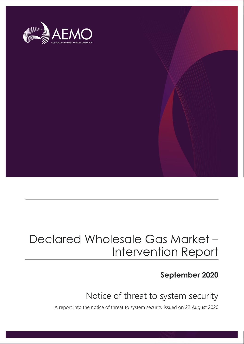

## Declared Wholesale Gas Market – Intervention Report

### **September 2020**

## Notice of threat to system security

A report into the notice of threat to system security issued on 22 August 2020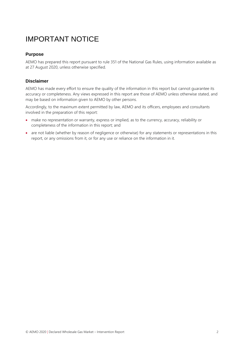## IMPORTANT NOTICE

#### **Purpose**

AEMO has prepared this report pursuant to rule 351 of the National Gas Rules, using information available as at 27 August 2020, unless otherwise specified.

#### **Disclaimer**

AEMO has made every effort to ensure the quality of the information in this report but cannot guarantee its accuracy or completeness. Any views expressed in this report are those of AEMO unless otherwise stated, and may be based on information given to AEMO by other persons.

Accordingly, to the maximum extent permitted by law, AEMO and its officers, employees and consultants involved in the preparation of this report:

- make no representation or warranty, express or implied, as to the currency, accuracy, reliability or completeness of the information in this report; and
- are not liable (whether by reason of negligence or otherwise) for any statements or representations in this report, or any omissions from it, or for any use or reliance on the information in it.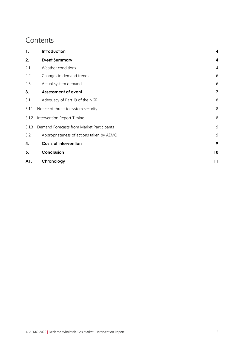### **Contents**

| 1.    | Introduction                              | 4              |
|-------|-------------------------------------------|----------------|
| 2.    | <b>Event Summary</b>                      | 4              |
| 2.1   | Weather conditions                        | $\overline{4}$ |
| 2.2   | Changes in demand trends                  | 6              |
| 2.3   | Actual system demand                      | 6              |
| 3.    | <b>Assessment of event</b>                | 7              |
| 3.1   | Adequacy of Part 19 of the NGR            | 8              |
| 3.1.1 | Notice of threat to system security       |                |
| 3.1.2 | 8<br>Intervention Report Timing           |                |
| 3.1.3 | Demand Forecasts from Market Participants |                |
| 3.2   | Appropriateness of actions taken by AEMO  | 9              |
| 4.    | <b>Costs of intervention</b>              | 9              |
| 5.    | Conclusion                                | 10             |
| A1.   | Chronology                                | 11             |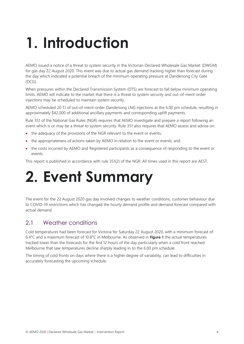## <span id="page-3-0"></span>**1. Introduction**

AEMO issued a notice of a threat to system security in the Victorian Declared Wholesale Gas Market (DWGM) for gas day 22 August 2020. This event was due to actual gas demand tracking higher than forecast during the day which indicated a potential breach of the minimum operating pressure at Dandenong City Gate (DCG).

When pressures within the Declared Transmission System (DTS) are forecast to fall below minimum operating limits, AEMO will indicate to the market that there is a threat to system security and out-of-merit-order injections may be scheduled to maintain system security.

AEMO scheduled 20 TJ of out-of-merit-order Dandenong LNG injections at the 6.00 pm schedule, resulting in approximately \$42,000 of additional ancillary payments and corresponding uplift payments.

Rule 351 of the National Gas Rules (NGR) requires that AEMO investigate and prepare a report following an event which is or may be a threat to system security. Rule 351 also requires that AEMO assess and advise on:

- the adequacy of the provisions of the NGR relevant to the event or events;
- the appropriateness of actions taken by AEMO in relation to the event or events; and
- the costs incurred by AEMO and Registered participants as a consequence of responding to the event or events.

This report is published in accordance with rule 351(2) of the NGR. All times used in this report are AEST.

## <span id="page-3-1"></span>**2. Event Summary**

The event for the 22 August 2020 gas day involved changes to weather conditions, customer behaviour due to COVID-19 restrictions which has changed the hourly demand profile and demand forecast compared with actual demand.

#### <span id="page-3-2"></span>2.1 Weather conditions

Cold temperatures had been forecast for Victoria for Saturday 22 August 2020, with a minimum forecast of 6.4°C and a maximum forecast of 10.8°C in Melbourne. As observed in **[Figure 1](#page-4-0)** the actual temperatures tracked lower than the forecasts for the first 12 hours of the day particularly when a cold front reached Melbourne that saw temperatures decline sharply leading in to the 6.00 pm schedule.

The timing of cold fronts on days where there is a higher degree of variability, can lead to difficulties in accurately forecasting the upcoming schedule.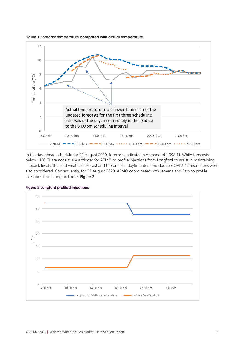

<span id="page-4-0"></span>**Figure 1 Forecast temperature compared with actual temperature**

In the day-ahead schedule for 22 August 2020, forecasts indicated a demand of 1,098 TJ. While forecasts below 1,150 TJ are not usually a trigger for AEMO to profile injections from Longford to assist in maintaining linepack levels, the cold weather forecast and the unusual daytime demand due to COVID-19 restrictions were also considered. Consequently, for 22 August 2020, AEMO coordinated with Jemena and Esso to profile injections from Longford, refer **[Figure](#page-4-1) 2**.



<span id="page-4-1"></span>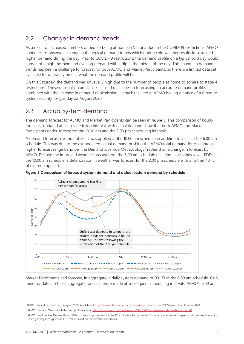### <span id="page-5-0"></span>2.2 Changes in demand trends

As a result of increased numbers of people being at home in Victoria due to the COVID-19 restrictions, AEMO continues to observe a change in the typical demand trends which during cold weather results in sustained higher demand during the day. Prior to COVID-19 restrictions, the demand profile on a typical cold day would consist of a high morning and evening demand with a dip in the middle of the day. This change in demand trends has been a challenge to forecast for both AEMO and Market Participants, as there is a limited data set available to accurately predict what the demand profile will be.

On this Saturday, the demand was unusually high due to the number of people at home to adhere to stage 4 restrictions<sup>1</sup>. These unusual circumstances caused difficulties in forecasting an accurate demand profile, combined with the increase in demand deplenishing linepack resulted in AEMO issuing a notice of a threat to system security for gas day 22 August 2020.

### <span id="page-5-1"></span>2.3 Actual system demand

The demand forecast for AEMO and Market Participants can be seen in **[Figure](#page-5-2) 3**. This comparison of hourly forecasts, updated at each scheduling interval, with actual demand show that both AEMO and Market Participants under-forecasted the 10.00 am and the 2.00 pm scheduling intervals.

A demand forecast override of 35 TJ was applied at the 10.00 am schedule in addition to 74 TJ at the 6.00 am schedule. This was due to the extrapolated actual demand pushing the AEMO total demand forecast into a higher forecast range band per the Demand Override Methodology<sup>2</sup> rather than a change in forecast by AEMO. Despite the improved weather forecast from the 6.00 am schedule resulting in a slightly lower EDD<sup>3</sup> at the 10.00 am schedule, a deterioration in weather was forecast for the 2.00 pm schedule with a further 40 TJ of override applied.



<span id="page-5-2"></span>**Figure 3 Comparison of forecast system demand and actual system demand by schedule**

Market Participants had forecast, in aggregate, a daily system demand of 991 TJ at the 6.00 am schedule. Only minor updates to these aggregate forecasts were made at subsequent scheduling intervals. AEMO's 6.00 am

<sup>&</sup>lt;sup>1</sup> DHHS. Stage 4 restrictions, 2 August 2020. Available at [https://www.dhhs.vic.gov.au/stage-4-restrictions-covid-19.](https://www.dhhs.vic.gov.au/stage-4-restrictions-covid-19) Viewed: 1 September 2020.

<sup>&</sup>lt;sup>2</sup> AEMO. Demand Override Methodology. Available a[t https://www.aemo.com.au/-/media/files/pdf/demand-override-methodology.pdf](https://www.aemo.com.au/-/media/files/pdf/demand-override-methodology.pdf)

<sup>&</sup>lt;sup>3</sup> AEMO uses Effective Degree Days (EDD) to forecast gas demand in the DTS. This is a factor derived from temperature, wind speed and sunshine hours, and each gas day is assigned an EDD value based on the weather conditions.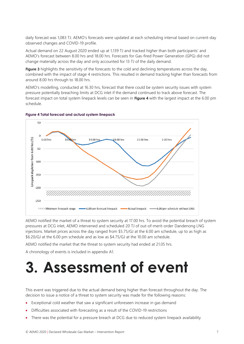daily forecast was 1,083 TJ. AEMO's forecasts were updated at each scheduling interval based on current-day observed changes and COVID-19 profile.

Actual demand on 22 August 2020 ended up at 1,139 TJ and tracked higher than both participants' and AEMO's forecast between 8.00 hrs and 18.00 hrs. Forecasts for Gas-fired Power Generation (GPG) did not change materially across the day and only accounted for 13 TJ of the daily demand.

**[Figure](#page-5-2) 3** highlights the sensitivity of the forecasts to the cold and declining temperatures across the day, combined with the impact of stage 4 restrictions. This resulted in demand tracking higher than forecasts from around 8.00 hrs through to 18.00 hrs.

AEMO's modelling, conducted at 16.30 hrs, forecast that there could be system security issues with system pressure potentially breaching limits at DCG inlet if the demand continued to track above forecast. The forecast impact on total system linepack levels can be seen in **[Figure 4](#page-6-1)** with the largest impact at the 6.00 pm schedule.



#### <span id="page-6-1"></span>**Figure 4 Total forecast and actual system linepack**

AEMO notified the market of a threat to system security at 17.00 hrs. To avoid the potential breach of system pressures at DCG inlet, AEMO intervened and scheduled 20 TJ of out-of-merit-order Dandenong LNG injections. Market prices across the day ranged from \$5.75/GJ at the 6.00 am schedule, up to as high as \$6.20/GJ at the 6.00 pm schedule and as low as \$4.75/GJ at the 10.00 am schedule.

AEMO notified the market that the threat to system security had ended at 21.05 hrs.

A chronology of events is included in appendix [A1.](#page-10-0)

## <span id="page-6-0"></span>**3. Assessment of event**

This event was triggered due to the actual demand being higher than forecast throughout the day. The decision to issue a notice of a threat to system security was made for the following reasons:

- Exceptional cold weather that saw a significant unforeseen increase in gas demand
- Difficulties associated with forecasting as a result of the COVID-19 restrictions
- There was the potential for a pressure breach at DCG due to reduced system linepack availability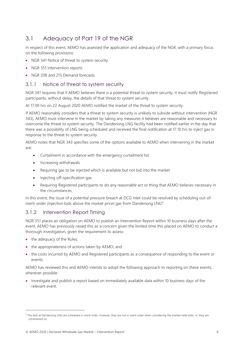### <span id="page-7-0"></span>3.1 Adequacy of Part 19 of the NGR

In respect of this event, AEMO has assessed the application and adequacy of the NGR, with a primary focus on the following provisions:

- NGR 341 Notice of threat to system security
- NGR 351 Intervention reports
- NGR 208 and 215 Demand forecasts

#### <span id="page-7-1"></span>3.1.1 Notice of threat to system security

NGR 341 requires that if AEMO believes there is a potential threat to system security, it must notify Registered participants, without delay, the details of that threat to system security.

At 17.00 hrs on 22 August 2020 AEMO notified the market of the threat to system security.

If AEMO reasonably considers that a threat to system security is unlikely to subside without intervention (NGR 343), AEMO must intervene in the market by taking any measures it believes are reasonable and necessary to overcome the threat to system security. The Dandenong LNG facility had been notified earlier in the day that there was a possibility of LNG being scheduled and received the final notification at 17.10 hrs to inject gas in response to the threat to system security.

AEMO notes that NGR 343 specifies some of the options available to AEMO when intervening in the market are:

- Curtailment in accordance with the emergency curtailment list
- Increasing withdrawals
- Requiring gas to be injected which is available but not bid into the market
- Injecting off-specification gas
- Requiring Registered participants to do any reasonable act or thing that AEMO believes necessary in the circumstances.

In this event, the issue of a potential pressure breach at DCG Inlet could be resolved by scheduling out-ofmerit-order (injection bids above the market price) gas from Dandenong LNG<sup>4</sup>.

#### <span id="page-7-2"></span>3.1.2 Intervention Report Timing

NGR 351 places an obligation on AEMO to publish an Intervention Report within 10 business days after the event. AEMO has previously raised this as a concern given the limited time this placed on AEMO to conduct a thorough investigation, given the requirement to assess:

- the adequacy of the Rules;
- the appropriateness of actions taken by AEMO; and
- the costs incurred by AEMO and Registered participants as a consequence of responding to the event or events.

AEMO has reviewed this and AEMO intends to adopt the following approach to reporting on these events, wherever possible:

• Investigate and publish a report based on immediately available data within 10 business days of the relevant event.

<sup>4</sup> The bids at Dandenong LNG are scheduled in merit order, however, they are not in merit order when considering the market-wide bids, i.e. they are constrained on.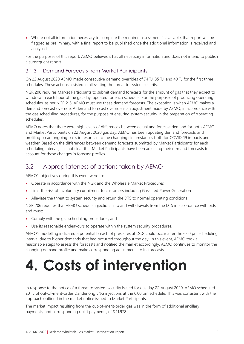• Where not all information necessary to complete the required assessment is available, that report will be flagged as preliminary, with a final report to be published once the additional information is received and analysed.

For the purposes of this report, AEMO believes it has all necessary information and does not intend to publish a subsequent report.

#### <span id="page-8-0"></span>3.1.3 Demand Forecasts from Market Participants

On 22 August 2020 AEMO made consecutive demand overrides of 74 TJ, 35 TJ, and 40 TJ for the first three schedules. These actions assisted in alleviating the threat to system security.

NGR 208 requires Market Participants to submit demand forecasts for the amount of gas that they expect to withdraw in each hour of the gas day, updated for each schedule. For the purposes of producing operating schedules, as per NGR 215, AEMO must use these demand forecasts. The exception is when AEMO makes a demand forecast override. A demand forecast override is an adjustment made by AEMO, in accordance with the gas scheduling procedures, for the purpose of ensuring system security in the preparation of operating schedules.

AEMO notes that there were high levels of differences between actual and forecast demand for both AEMO and Market Participants on 22 August 2020 gas day. AEMO has been updating demand forecasts and profiling on an ongoing basis in response to the changing circumstances both for COVID-19 impacts and weather. Based on the differences between demand forecasts submitted by Market Participants for each scheduling interval, it is not clear that Market Participants have been adjusting their demand forecasts to account for these changes in forecast profiles.

### <span id="page-8-1"></span>3.2 Appropriateness of actions taken by AEMO

AEMO's objectives during this event were to:

- Operate in accordance with the NGR and the Wholesale Market Procedures
- Limit the risk of involuntary curtailment to customers including Gas-fired Power Generation
- Alleviate the threat to system security and return the DTS to normal operating conditions

NGR 206 requires that AEMO schedule injections into and withdrawals from the DTS in accordance with bids and must:

- Comply with the gas scheduling procedures; and
- Use its reasonable endeavours to operate within the system security procedures.

AEMO's modelling indicated a potential breach of pressures at DCG could occur after the 6.00 pm scheduling interval due to higher demands that had occurred throughout the day. In this event, AEMO took all reasonable steps to assess the forecasts and notified the market accordingly. AEMO continues to monitor the changing demand profile and make corresponding adjustments to its forecasts.

## <span id="page-8-2"></span>**4. Costs of intervention**

In response to the notice of a threat to system security issued for gas day 22 August 2020, AEMO scheduled 20 TJ of out-of-merit-order Dandenong LNG injections at the 6.00 pm schedule. This was consistent with the approach outlined in the market notice issued to Market Participants.

The market impact resulting from the out-of-merit-order gas was in the form of additional ancillary payments, and corresponding uplift payments, of \$41,978.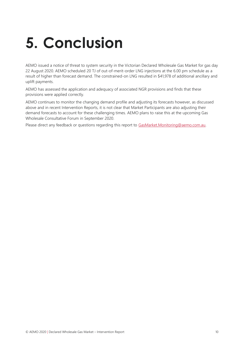## <span id="page-9-0"></span>**5. Conclusion**

AEMO issued a notice of threat to system security in the Victorian Declared Wholesale Gas Market for gas day 22 August 2020. AEMO scheduled 20 TJ of out-of-merit-order LNG injections at the 6.00 pm schedule as a result of higher than forecast demand. The constrained-on LNG resulted in \$41,978 of additional ancillary and uplift payments.

AEMO has assessed the application and adequacy of associated NGR provisions and finds that these provisions were applied correctly.

AEMO continues to monitor the changing demand profile and adjusting its forecasts however, as discussed above and in recent Intervention Reports, it is not clear that Market Participants are also adjusting their demand forecasts to account for these challenging times. AEMO plans to raise this at the upcoming Gas Wholesale Consultative Forum in September 2020.

Please direct any feedback or questions regarding this report to [GasMarket.Monitoring@aemo.com.au.](mailto:GasMarket.Monitoring@aemo.com.au)